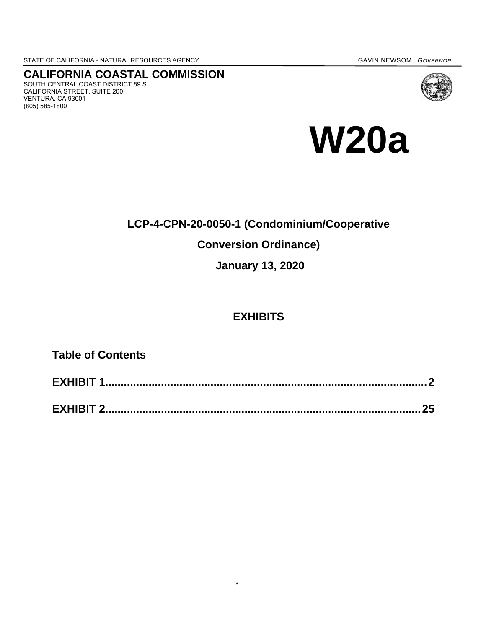STATE OF CALIFORNIA - NATURALRESOURCES AGENCY GAVIN NEWSOM, *GOVERNOR*

# **CALIFORNIA COASTAL COMMISSION**

SOUTH CENTRAL COAST DISTRICT 89 S. CALIFORNIA STREET, SUITE 200 VENTURA, CA 93001 (805) 585-1800



## **LCP-4-CPN-20-0050-1 (Condominium/Cooperative**

## **Conversion Ordinance)**

**January 13, 2020**

## **EXHIBITS**

**Table of Contents**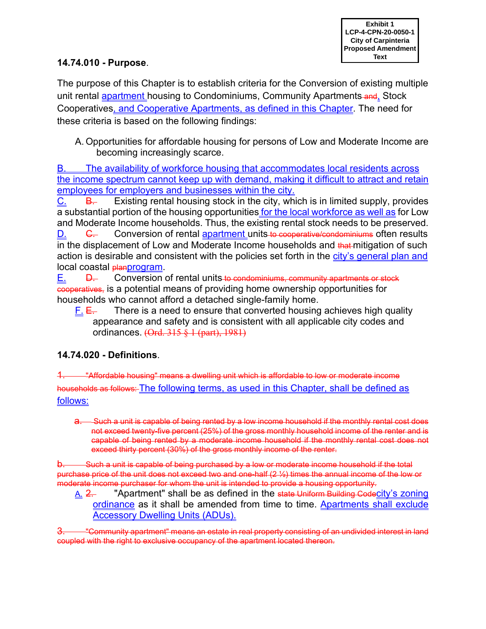### **14.74.010 - Purpose**.

The purpose of this Chapter is to establish criteria for the Conversion of existing multiple unit rental apartment housing to Condominiums, Community Apartments-and, Stock Cooperatives, and Cooperative Apartments, as defined in this Chapter. The need for these criteria is based on the following findings:

A. Opportunities for affordable housing for persons of Low and Moderate Income are becoming increasingly scarce.

B. The availability of workforce housing that accommodates local residents across the income spectrum cannot keep up with demand, making it difficult to attract and retain employees for employers and businesses within the city.

C. B. Existing rental housing stock in the city, which is in limited supply, provides a substantial portion of the housing opportunities for the local workforce as well as for Low and Moderate Income households. Thus, the existing rental stock needs to be preserved.

D. C. Conversion of rental apartment units to cooperative/condominiums often results in the displacement of Low and Moderate Income households and that mitigation of such action is desirable and consistent with the policies set forth in the city's general plan and local coastal **planprogram**.

E. <del>D.</del> Conversion of rental units to condominiums, community apartments or stock cooperatives, is a potential means of providing home ownership opportunities for households who cannot afford a detached single-family home.

F.  $E_{\text{H}}$  There is a need to ensure that converted housing achieves high quality appearance and safety and is consistent with all applicable city codes and ordinances. (Ord. 315 § 1 (part), 1981)

## **14.74.020 - Definitions**.

-"Affordable housing" means a dwelling unit which is affordable to low or moderate income households as follows: The following terms, as used in this Chapter, shall be defined as follows:

a. Such a unit is capable of being rented by a low income household if the monthly rental cost does not exceed twenty-five percent (25%) of the gross monthly household income of the renter and is capable of being rented by a moderate income household if the monthly rental cost does not exceed thirty percent (30%) of the gross monthly income of the renter.

b. Such a unit is capable of being purchased by a low or moderate income household if the total purchase price of the unit does not exceed two and one-half (2 ½) times the annual income of the low or moderate income purchaser for whom the unit is intended to provide a housing opportunity.

A. 2. "Apartment" shall be as defined in the state Uniform Building Codecity's zoning ordinance as it shall be amended from time to time. Apartments shall exclude Accessory Dwelling Units (ADUs).

3. "Community apartment" means an estate in real property consisting of an undivided interest in land coupled with the right to exclusive occupancy of the apartment located thereon.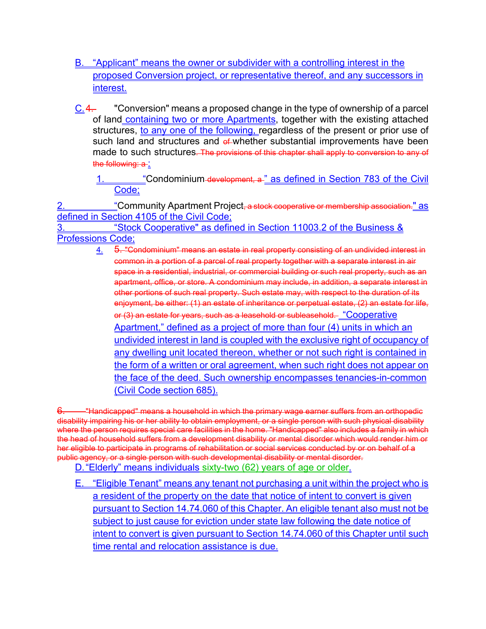- B. "Applicant" means the owner or subdivider with a controlling interest in the proposed Conversion project, or representative thereof, and any successors in interest.
- $\underline{C.4}$ . "Conversion" means a proposed change in the type of ownership of a parcel of land containing two or more Apartments, together with the existing attached structures, to any one of the following, regardless of the present or prior use of such land and structures and of whether substantial improvements have been made to such structures. The provisions of this chapter shall apply to conversion to any of the following: a:

"Condominium development, a " as defined in Section 783 of the Civil Code;

"Community Apartment Project<del>, a stock cooperative or membership association.</del>" as defined in Section 4105 of the Civil Code;

3. "Stock Cooperative" as defined in Section 11003.2 of the Business & Professions Code;

> 4. 5. "Condominium" means an estate in real property consisting of an undivided interest in common in a portion of a parcel of real property together with a separate interest in air space in a residential, industrial, or commercial building or such real property, such as an apartment, office, or store. A condominium may include, in addition, a separate interest in other portions of such real property. Such estate may, with respect to the duration of its enjoyment, be either: (1) an estate of inheritance or perpetual estate, (2) an estate for life, or (3) an estate for years, such as a leasehold or subleasehold. "Cooperative Apartment," defined as a project of more than four (4) units in which an undivided interest in land is coupled with the exclusive right of occupancy of any dwelling unit located thereon, whether or not such right is contained in the form of a written or oral agreement, when such right does not appear on the face of the deed. Such ownership encompasses tenancies-in-common (Civil Code section 685).

"Handicapped" means a household in which the primary wage earner suffers from an orthopedic disability impairing his or her ability to obtain employment, or a single person with such physical disability where the person requires special care facilities in the home. "Handicapped" also includes a family in which the head of household suffers from a development disability or mental disorder which would render him or her eligible to participate in programs of rehabilitation or social services conducted by or on behalf of a public agency, or a single person with such developmental disability or mental disorder.

D."Elderly" means individuals sixty-two (62) years of age or older.

E. "Eligible Tenant" means any tenant not purchasing a unit within the project who is a resident of the property on the date that notice of intent to convert is given pursuant to Section 14.74.060 of this Chapter. An eligible tenant also must not be subject to just cause for eviction under state law following the date notice of intent to convert is given pursuant to Section 14.74.060 of this Chapter until such time rental and relocation assistance is due.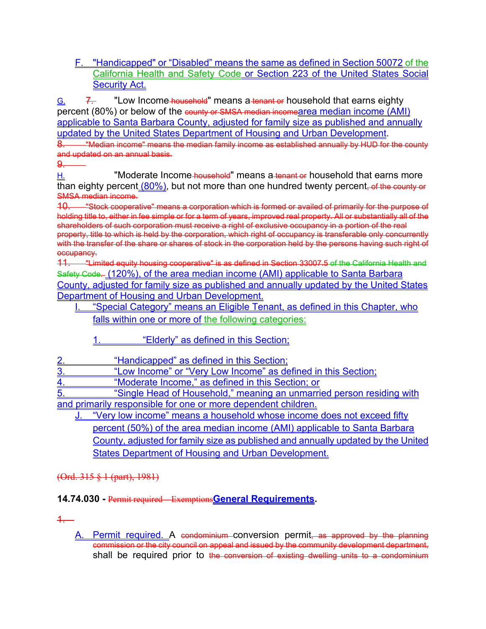F. "Handicapped" or "Disabled" means the same as defined in Section 50072 of the California Health and Safety Code or Section 223 of the United States Social **Security Act.** 

 $G<sub>1</sub>$  7. "Low Income-household" means a tenant or household that earns eighty percent (80%) or below of the county or SMSA median incomearea median income (AMI) applicable to Santa Barbara County, adjusted for family size as published and annually updated by the United States Department of Housing and Urban Development.

8. "Wedian income" means the median family income as established annually by HUD for the county and updated on an annual basis.

 $\Omega$ 

H. "Moderate Income household" means a tenant or household that earns more than eighty percent (80%), but not more than one hundred twenty percent, of the county or SMSA median income.

10. "Stock cooperative" means a corporation which is formed or availed of primarily for the purpose of holding title to, either in fee simple or for a term of years, improved real property. All or substantially all of the shareholders of such corporation must receive a right of exclusive occupancy in a portion of the real property, title to which is held by the corporation, which right of occupancy is transferable only concurrently with the transfer of the share or shares of stock in the corporation held by the persons having such right of occupancy.

11. "Limited equity housing cooperative" is as defined in Section 33007.5 of the California Health and Safety Code. (120%), of the area median income (AMI) applicable to Santa Barbara County, adjusted for family size as published and annually updated by the United States Department of Housing and Urban Development.

- I. "Special Category" means an Eligible Tenant, as defined in this Chapter, who falls within one or more of the following categories:
	- 1. "Elderly" as defined in this Section;

| "Handicapped" as defined in this Section:                     |
|---------------------------------------------------------------|
| "Low Income" or "Very Low Income" as defined in this Section; |
|                                                               |

"Moderate Income," as defined in this Section; or

"Single Head of Household," meaning an unmarried person residing with and primarily responsible for one or more dependent children.

"Very low income" means a household whose income does not exceed fifty percent (50%) of the area median income (AMI) applicable to Santa Barbara County, adjusted for family size as published and annually updated by the United States Department of Housing and Urban Development.

(Ord. 315 § 1 (part), 1981)

## **14.74.030 -** Permit required—Exemptions**General Requirements.**

1.

A. Permit required. A condominium conversion permit, as approved by the planning commission or the city council on appeal and issued by the community development department, shall be required prior to the conversion of existing dwelling units to a condominium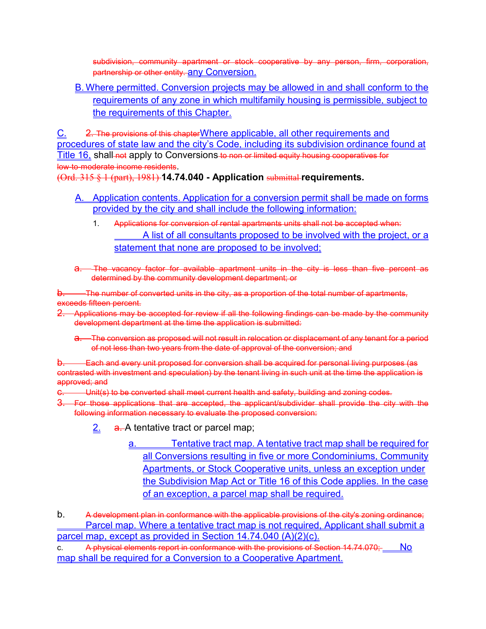subdivision, community apartment or stock cooperative by any person, firm, corporation, partnership or other entity. any Conversion.

B. Where permitted. Conversion projects may be allowed in and shall conform to the requirements of any zone in which multifamily housing is permissible, subject to the requirements of this Chapter.

C. 2. The provisions of this chapterWhere applicable, all other requirements and procedures of state law and the city's Code, including its subdivision ordinance found at Title 16, shall-not apply to Conversions-to non or limited equity housing cooperatives for low-to-moderate income residents.

(Ord. 315 § 1 (part), 1981) **14.74.040 - Application** submittal **requirements.**

- A. Application contents. Application for a conversion permit shall be made on forms provided by the city and shall include the following information:
	- 1. Applications for conversion of rental apartments units shall not be accepted when: A list of all consultants proposed to be involved with the project, or a statement that none are proposed to be involved;
- a. The vacancy factor for available apartment units in the city is less than five percent as determined by the community development department; or

The number of converted units in the city, as a proportion of the total number of apartments, exceeds fifteen percent.

- 2. Applications may be accepted for review if all the following findings can be made by the community development department at the time the application is submitted:
	- a. The conversion as proposed will not result in relocation or displacement of any tenant for a period of not less than two years from the date of approval of the conversion; and

b. Each and every unit proposed for conversion shall be acquired for personal living purposes (as contrasted with investment and speculation) by the tenant living in such unit at the time the application is approved; and

- c. Unit(s) to be converted shall meet current health and safety, building and zoning codes.
- 3. For those applications that are accepted, the applicant/subdivider shall provide the city with the following information necessary to evaluate the proposed conversion:
	- 2. **a.** A tentative tract or parcel map;
		- a. Tentative tract map. A tentative tract map shall be required for all Conversions resulting in five or more Condominiums, Community Apartments, or Stock Cooperative units, unless an exception under the Subdivision Map Act or Title 16 of this Code applies. In the case of an exception, a parcel map shall be required.

b. A development plan in conformance with the applicable provisions of the city's zoning ordinance; Parcel map. Where a tentative tract map is not required, Applicant shall submit a parcel map, except as provided in Section 14.74.040 (A)(2)(c).

c. A physical elements report in conformance with the provisions of Section 14.74.070; No map shall be required for a Conversion to a Cooperative Apartment.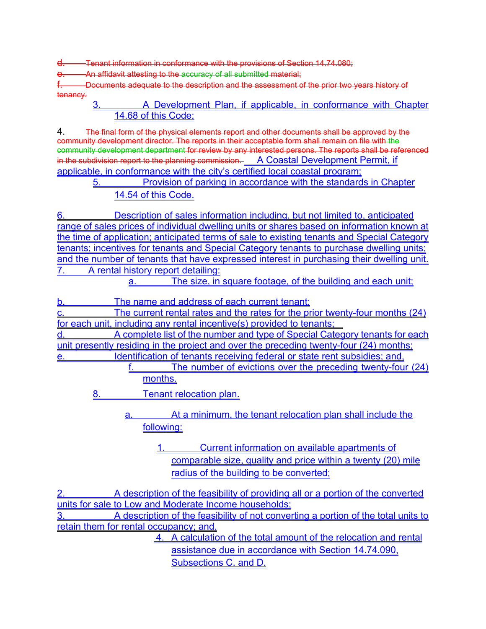Tenant information in conformance with the provisions of Section 14.74.080;

An affidavit attesting to the accuracy of all submitted material;

-Documents adequate to the description and the assessment of the prior two years history of tenancy.

3. A Development Plan, if applicable, in conformance with Chapter 14.68 of this Code;

4. The final form of the physical elements report and other documents shall be approved by the community development director. The reports in their acceptable form shall remain on file with the community development department for review by any interested persons. The reports shall be referenced in the subdivision report to the planning commission. A Coastal Development Permit, if applicable, in conformance with the city's certified local coastal program;

5. Provision of parking in accordance with the standards in Chapter 14.54 of this Code.

6. Description of sales information including, but not limited to, anticipated range of sales prices of individual dwelling units or shares based on information known at the time of application; anticipated terms of sale to existing tenants and Special Category tenants; incentives for tenants and Special Category tenants to purchase dwelling units; and the number of tenants that have expressed interest in purchasing their dwelling unit. 7. A rental history report detailing:

a. The size, in square footage, of the building and each unit;

The name and address of each current tenant;

The current rental rates and the rates for the prior twenty-four months (24) for each unit, including any rental incentive(s) provided to tenants;

d. A complete list of the number and type of Special Category tenants for each unit presently residing in the project and over the preceding twenty-four (24) months; Identification of tenants receiving federal or state rent subsidies; and,

f. The number of evictions over the preceding twenty-four (24) months.

8. Tenant relocation plan.

a. At a minimum, the tenant relocation plan shall include the following:

> 1. Current information on available apartments of comparable size, quality and price within a twenty (20) mile radius of the building to be converted;

2. A description of the feasibility of providing all or a portion of the converted units for sale to Low and Moderate Income households;

A description of the feasibility of not converting a portion of the total units to retain them for rental occupancy; and,

> 4. A calculation of the total amount of the relocation and rental assistance due in accordance with Section 14.74.090, Subsections C. and D.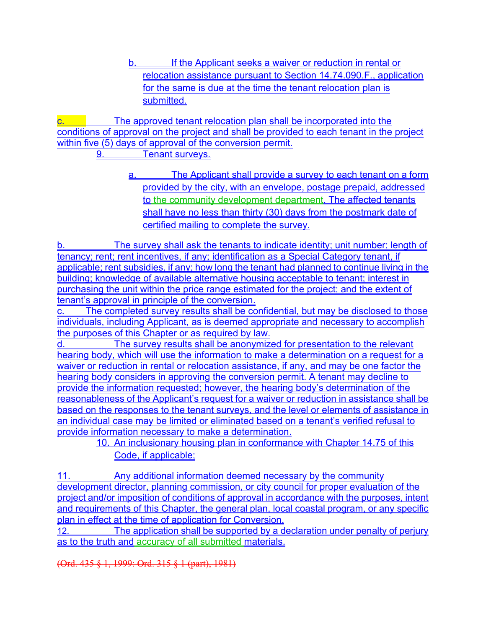b. If the Applicant seeks a waiver or reduction in rental or relocation assistance pursuant to Section 14.74.090.F., application for the same is due at the time the tenant relocation plan is submitted.

**c.** The approved tenant relocation plan shall be incorporated into the conditions of approval on the project and shall be provided to each tenant in the project within five (5) days of approval of the conversion permit.

9. Tenant surveys.

a. The Applicant shall provide a survey to each tenant on a form provided by the city, with an envelope, postage prepaid, addressed to the community development department. The affected tenants shall have no less than thirty (30) days from the postmark date of certified mailing to complete the survey.

The survey shall ask the tenants to indicate identity; unit number; length of tenancy; rent; rent incentives, if any; identification as a Special Category tenant, if applicable; rent subsidies, if any; how long the tenant had planned to continue living in the building; knowledge of available alternative housing acceptable to tenant; interest in purchasing the unit within the price range estimated for the project; and the extent of tenant's approval in principle of the conversion.

c. The completed survey results shall be confidential, but may be disclosed to those individuals, including Applicant, as is deemed appropriate and necessary to accomplish the purposes of this Chapter or as required by law.

The survey results shall be anonymized for presentation to the relevant hearing body, which will use the information to make a determination on a request for a waiver or reduction in rental or relocation assistance, if any, and may be one factor the hearing body considers in approving the conversion permit. A tenant may decline to provide the information requested; however, the hearing body's determination of the reasonableness of the Applicant's request for a waiver or reduction in assistance shall be based on the responses to the tenant surveys, and the level or elements of assistance in an individual case may be limited or eliminated based on a tenant's verified refusal to provide information necessary to make a determination.

10. An inclusionary housing plan in conformance with Chapter 14.75 of this Code, if applicable;

11. Any additional information deemed necessary by the community development director, planning commission, or city council for proper evaluation of the project and/or imposition of conditions of approval in accordance with the purposes, intent and requirements of this Chapter, the general plan, local coastal program, or any specific plan in effect at the time of application for Conversion.

12. The application shall be supported by a declaration under penalty of perjury as to the truth and accuracy of all submitted materials.

(Ord. 435 § 1, 1999: Ord. 315 § 1 (part), 1981)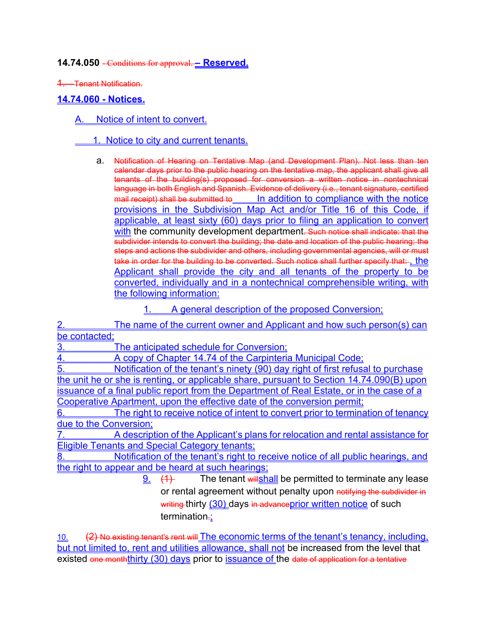**14.74.050** - Conditions for approval. **– Reserved.**

1. Tenant Notification.

#### **14.74.060 - Notices.**

A. Notice of intent to convert.

#### 1. Notice to city and current tenants.

a. Notification of Hearing on Tentative Map (and Development Plan). Not less than ten calendar days prior to the public hearing on the tentative map, the applicant shall give all tenants of the building(s) proposed for conversion a written notice in nontechnical language in both English and Spanish. Evidence of delivery (i.e., tenant signature, certified mail receipt) shall be submitted to In addition to compliance with the notice provisions in the Subdivision Map Act and/or Title 16 of this Code, if applicable, at least sixty (60) days prior to filing an application to convert with the community development department. Such notice shall indicate: that the subdivider intends to convert the building; the date and location of the public hearing; the steps and actions the subdivider and others, including governmental agencies, will or must take in order for the building to be converted. Such notice shall further specify that:-, the Applicant shall provide the city and all tenants of the property to be converted, individually and in a nontechnical comprehensible writing, with the following information:

#### 1. A general description of the proposed Conversion;

2. The name of the current owner and Applicant and how such person(s) can be contacted;

3. The anticipated schedule for Conversion;

4. A copy of Chapter 14.74 of the Carpinteria Municipal Code;

5. Notification of the tenant's ninety (90) day right of first refusal to purchase the unit he or she is renting, or applicable share, pursuant to Section 14.74.090(B) upon issuance of a final public report from the Department of Real Estate, or in the case of a Cooperative Apartment, upon the effective date of the conversion permit;

The right to receive notice of intent to convert prior to termination of tenancy due to the Conversion;

7. A description of the Applicant's plans for relocation and rental assistance for Eligible Tenants and Special Category tenants;

8. Notification of the tenant's right to receive notice of all public hearings, and the right to appear and be heard at such hearings;

> $\frac{9}{2}$  (1) The tenant will shall be permitted to terminate any lease or rental agreement without penalty upon notifying the subdivider in writing thirty (30) days in advance prior written notice of such termination.;

10. (2) No existing tenant's rent will The economic terms of the tenant's tenancy, including, but not limited to, rent and utilities allowance, shall not be increased from the level that existed one monththirty (30) days prior to issuance of the date of application for a tentative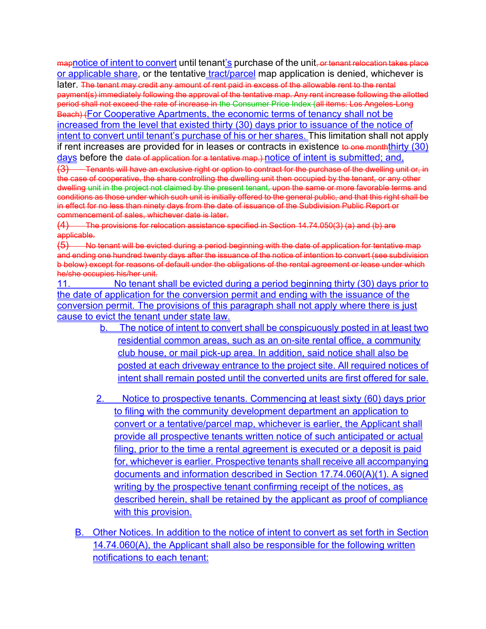mapnotice of intent to convert until tenant's purchase of the unit, or tenant relocation takes place or applicable share, or the tentative tract/parcel map application is denied, whichever is later. The tenant may credit any amount of rent paid in excess of the allowable rent to the rental payment(s) immediately following the approval of the tentative map. Any rent increase following the allotted period shall not exceed the rate of increase in the Consumer Price Index (all items: Los Angeles-Long Beach) (For Cooperative Apartments, the economic terms of tenancy shall not be increased from the level that existed thirty (30) days prior to issuance of the notice of intent to convert until tenant's purchase of his or her shares. This limitation shall not apply if rent increases are provided for in leases or contracts in existence to one month thirty  $(30)$ days before the date of application for a tentative map.) notice of intent is submitted; and,

(3) Tenants will have an exclusive right or option to contract for the purchase of the dwelling unit or, in the case of cooperative, the share controlling the dwelling unit then occupied by the tenant, or any other dwelling unit in the project not claimed by the present tenant, upon the same or more favorable terms and conditions as those under which such unit is initially offered to the general public, and that this right shall be in effect for no less than ninety days from the date of issuance of the Subdivision Public Report or commencement of sales, whichever date is later.

(4) The provisions for relocation assistance specified in Section 14.74.050(3) (a) and (b) are applicable.

 $(5)$  No tenant will be evicted during a period beginning with the date of application for tentative map and ending one hundred twenty days after the issuance of the notice of intention to convert (see subdivision b below) except for reasons of default under the obligations of the rental agreement or lease under which he/she occupies his/her unit.

11. No tenant shall be evicted during a period beginning thirty (30) days prior to the date of application for the conversion permit and ending with the issuance of the conversion permit. The provisions of this paragraph shall not apply where there is just cause to evict the tenant under state law.

- b. The notice of intent to convert shall be conspicuously posted in at least two residential common areas, such as an on-site rental office, a community club house, or mail pick-up area. In addition, said notice shall also be posted at each driveway entrance to the project site. All required notices of intent shall remain posted until the converted units are first offered for sale.
- 2. Notice to prospective tenants. Commencing at least sixty (60) days prior to filing with the community development department an application to convert or a tentative/parcel map, whichever is earlier, the Applicant shall provide all prospective tenants written notice of such anticipated or actual filing, prior to the time a rental agreement is executed or a deposit is paid for, whichever is earlier. Prospective tenants shall receive all accompanying documents and information described in Section 17.74.060(A)(1). A signed writing by the prospective tenant confirming receipt of the notices, as described herein, shall be retained by the applicant as proof of compliance with this provision.
- B. Other Notices. In addition to the notice of intent to convert as set forth in Section 14.74.060(A), the Applicant shall also be responsible for the following written notifications to each tenant: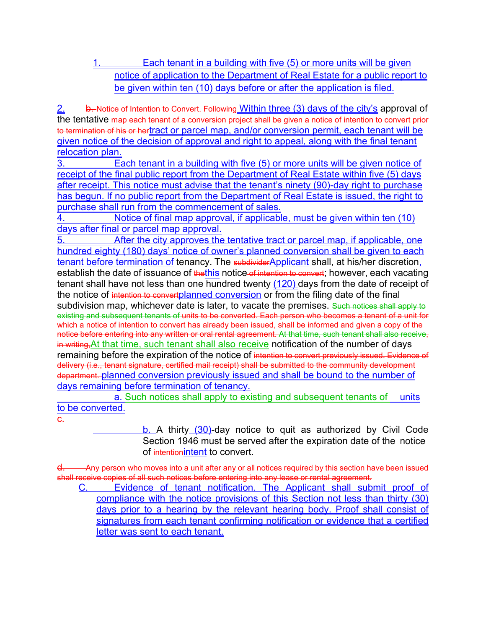1. Each tenant in a building with five (5) or more units will be given notice of application to the Department of Real Estate for a public report to be given within ten (10) days before or after the application is filed.

2. b. Notice of Intention to Convert. Following Within three (3) days of the city's approval of the tentative map each tenant of a conversion project shall be given a notice of intention to convert prior to termination of his or hertract or parcel map, and/or conversion permit, each tenant will be given notice of the decision of approval and right to appeal, along with the final tenant relocation plan.

3. Each tenant in a building with five (5) or more units will be given notice of receipt of the final public report from the Department of Real Estate within five (5) days after receipt. This notice must advise that the tenant's ninety (90)-day right to purchase has begun. If no public report from the Department of Real Estate is issued, the right to purchase shall run from the commencement of sales.

Notice of final map approval, if applicable, must be given within ten (10) days after final or parcel map approval.

After the city approves the tentative tract or parcel map, if applicable, one hundred eighty (180) days' notice of owner's planned conversion shall be given to each tenant before termination of tenancy. The subdividerApplicant shall, at his/her discretion, establish the date of issuance of thethis notice of intention to convert; however, each vacating tenant shall have not less than one hundred twenty (120) days from the date of receipt of the notice of intention to convertplanned conversion or from the filing date of the final subdivision map, whichever date is later, to vacate the premises. Such notices shall apply to existing and subsequent tenants of units to be converted. Each person who becomes a tenant of a unit for which a notice of intention to convert has already been issued, shall be informed and given a copy of the notice before entering into any written or oral rental agreement. At that time, such tenant shall also receive, in writing, At that time, such tenant shall also receive notification of the number of days remaining before the expiration of the notice of intention to convert previously issued. Evidence of delivery (i.e., tenant signature, certified mail receipt) shall be submitted to the community development department. planned conversion previously issued and shall be bound to the number of days remaining before termination of tenancy.

a. Such notices shall apply to existing and subsequent tenants of units to be converted.

c.

b. A thirty (30)-day notice to quit as authorized by Civil Code Section 1946 must be served after the expiration date of the notice of intentionintent to convert.

d. Any person who moves into a unit after any or all notices required by this section have been issued shall receive copies of all such notices before entering into any lease or rental agreement.

C. Evidence of tenant notification. The Applicant shall submit proof of compliance with the notice provisions of this Section not less than thirty (30) days prior to a hearing by the relevant hearing body. Proof shall consist of signatures from each tenant confirming notification or evidence that a certified letter was sent to each tenant.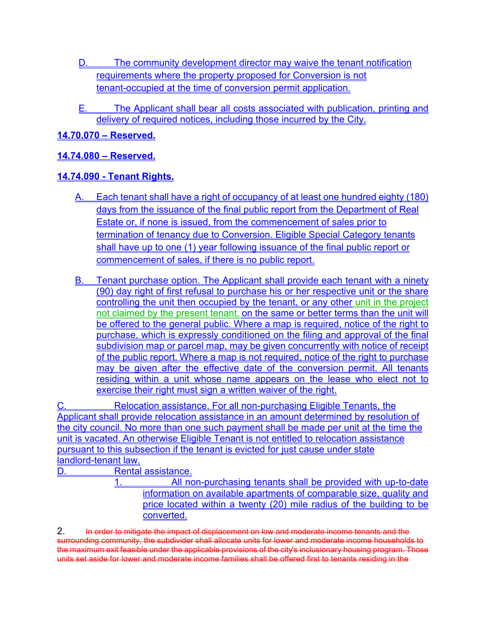- D. The community development director may waive the tenant notification requirements where the property proposed for Conversion is not tenant-occupied at the time of conversion permit application.
- E. The Applicant shall bear all costs associated with publication, printing and delivery of required notices, including those incurred by the City.

**14.70.070 – Reserved.**

### **14.74.080 – Reserved.**

### **14.74.090 - Tenant Rights.**

- Each tenant shall have a right of occupancy of at least one hundred eighty (180) days from the issuance of the final public report from the Department of Real Estate or, if none is issued, from the commencement of sales prior to termination of tenancy due to Conversion. Eligible Special Category tenants shall have up to one (1) year following issuance of the final public report or commencement of sales, if there is no public report.
- B. Tenant purchase option. The Applicant shall provide each tenant with a ninety (90) day right of first refusal to purchase his or her respective unit or the share controlling the unit then occupied by the tenant, or any other unit in the project not claimed by the present tenant, on the same or better terms than the unit will be offered to the general public. Where a map is required, notice of the right to purchase, which is expressly conditioned on the filing and approval of the final subdivision map or parcel map, may be given concurrently with notice of receipt of the public report. Where a map is not required, notice of the right to purchase may be given after the effective date of the conversion permit. All tenants residing within a unit whose name appears on the lease who elect not to exercise their right must sign a written waiver of the right.

C. Relocation assistance. For all non-purchasing Eligible Tenants, the Applicant shall provide relocation assistance in an amount determined by resolution of the city council. No more than one such payment shall be made per unit at the time the unit is vacated. An otherwise Eligible Tenant is not entitled to relocation assistance pursuant to this subsection if the tenant is evicted for just cause under state landlord-tenant law.

D. Rental assistance.

1. All non-purchasing tenants shall be provided with up-to-date information on available apartments of comparable size, quality and price located within a twenty (20) mile radius of the building to be converted.

2. In order to mitigate the impact of displacement on low and moderate income tenants and the surrounding community, the subdivider shall allocate units for lower and moderate income households to the maximum exit feasible under the applicable provisions of the city's inclusionary housing program. Those units set aside for lower and moderate income families shall be offered first to tenants residing in the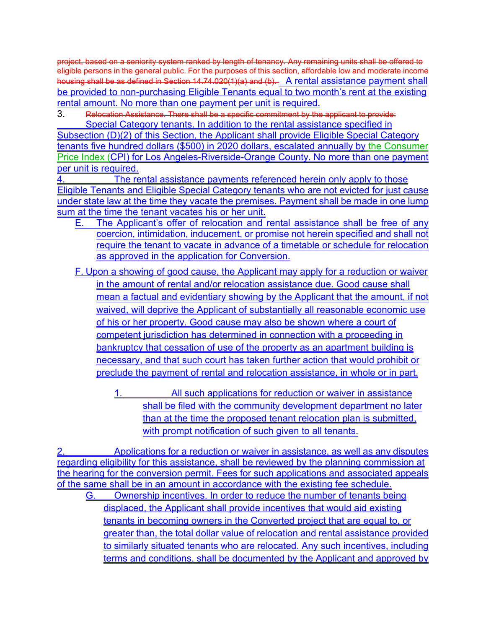project, based on a seniority system ranked by length of tenancy. Any remaining units shall be offered to eligible persons in the general public. For the purposes of this section, affordable low and moderate income housing shall be as defined in Section 14.74.020(1)(a) and (b). A rental assistance payment shall be provided to non-purchasing Eligible Tenants equal to two month's rent at the existing rental amount. No more than one payment per unit is required.

3. Relocation Assistance. There shall be a specific commitment by the applicant to provide: Special Category tenants. In addition to the rental assistance specified in

Subsection (D)(2) of this Section, the Applicant shall provide Eligible Special Category tenants five hundred dollars (\$500) in 2020 dollars, escalated annually by the Consumer Price Index (CPI) for Los Angeles-Riverside-Orange County. No more than one payment per unit is required.

4. The rental assistance payments referenced herein only apply to those Eligible Tenants and Eligible Special Category tenants who are not evicted for just cause under state law at the time they vacate the premises. Payment shall be made in one lump sum at the time the tenant vacates his or her unit.

- E. The Applicant's offer of relocation and rental assistance shall be free of any coercion, intimidation, inducement, or promise not herein specified and shall not require the tenant to vacate in advance of a timetable or schedule for relocation as approved in the application for Conversion.
- F. Upon a showing of good cause, the Applicant may apply for a reduction or waiver in the amount of rental and/or relocation assistance due. Good cause shall mean a factual and evidentiary showing by the Applicant that the amount, if not waived, will deprive the Applicant of substantially all reasonable economic use of his or her property. Good cause may also be shown where a court of competent jurisdiction has determined in connection with a proceeding in bankruptcy that cessation of use of the property as an apartment building is necessary, and that such court has taken further action that would prohibit or preclude the payment of rental and relocation assistance, in whole or in part.
	- 1. All such applications for reduction or waiver in assistance shall be filed with the community development department no later than at the time the proposed tenant relocation plan is submitted, with prompt notification of such given to all tenants.

2. Applications for a reduction or waiver in assistance, as well as any disputes regarding eligibility for this assistance, shall be reviewed by the planning commission at the hearing for the conversion permit. Fees for such applications and associated appeals of the same shall be in an amount in accordance with the existing fee schedule. G. Ownership incentives. In order to reduce the number of tenants being displaced, the Applicant shall provide incentives that would aid existing tenants in becoming owners in the Converted project that are equal to, or greater than, the total dollar value of relocation and rental assistance provided to similarly situated tenants who are relocated. Any such incentives, including terms and conditions, shall be documented by the Applicant and approved by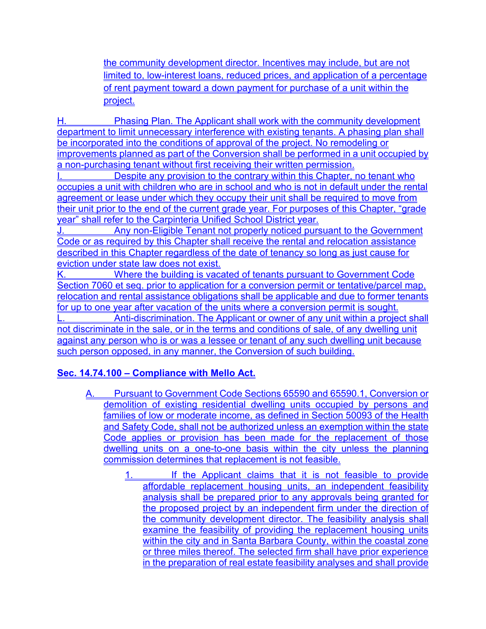the community development director. Incentives may include, but are not limited to, low-interest loans, reduced prices, and application of a percentage of rent payment toward a down payment for purchase of a unit within the project.

Phasing Plan. The Applicant shall work with the community development department to limit unnecessary interference with existing tenants. A phasing plan shall be incorporated into the conditions of approval of the project. No remodeling or improvements planned as part of the Conversion shall be performed in a unit occupied by a non-purchasing tenant without first receiving their written permission.

I. Despite any provision to the contrary within this Chapter, no tenant who occupies a unit with children who are in school and who is not in default under the rental agreement or lease under which they occupy their unit shall be required to move from their unit prior to the end of the current grade year. For purposes of this Chapter, "grade" year" shall refer to the Carpinteria Unified School District vear.

Any non-Eligible Tenant not properly noticed pursuant to the Government Code or as required by this Chapter shall receive the rental and relocation assistance described in this Chapter regardless of the date of tenancy so long as just cause for eviction under state law does not exist.

K. Where the building is vacated of tenants pursuant to Government Code Section 7060 et seq. prior to application for a conversion permit or tentative/parcel map, relocation and rental assistance obligations shall be applicable and due to former tenants for up to one year after vacation of the units where a conversion permit is sought.

Anti-discrimination. The Applicant or owner of any unit within a project shall not discriminate in the sale, or in the terms and conditions of sale, of any dwelling unit against any person who is or was a lessee or tenant of any such dwelling unit because such person opposed, in any manner, the Conversion of such building.

## **Sec. 14.74.100 – Compliance with Mello Act.**

- A. Pursuant to Government Code Sections 65590 and 65590.1, Conversion or demolition of existing residential dwelling units occupied by persons and families of low or moderate income, as defined in Section 50093 of the Health and Safety Code, shall not be authorized unless an exemption within the state Code applies or provision has been made for the replacement of those dwelling units on a one-to-one basis within the city unless the planning commission determines that replacement is not feasible.
	- 1. If the Applicant claims that it is not feasible to provide affordable replacement housing units, an independent feasibility analysis shall be prepared prior to any approvals being granted for the proposed project by an independent firm under the direction of the community development director. The feasibility analysis shall examine the feasibility of providing the replacement housing units within the city and in Santa Barbara County, within the coastal zone or three miles thereof. The selected firm shall have prior experience in the preparation of real estate feasibility analyses and shall provide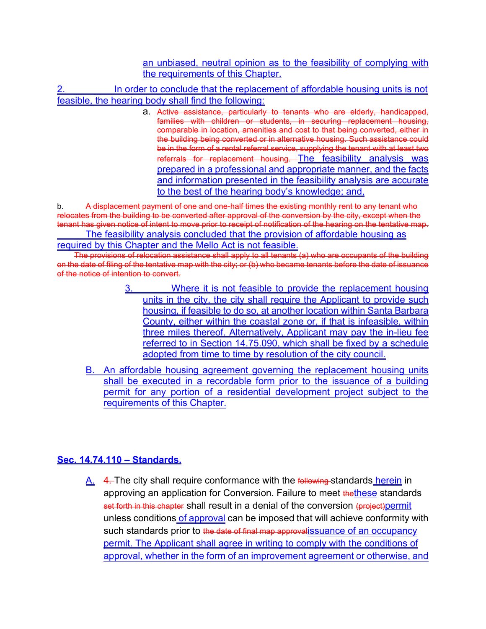#### an unbiased, neutral opinion as to the feasibility of complying with the requirements of this Chapter.

In order to conclude that the replacement of affordable housing units is not feasible, the hearing body shall find the following:

> a. Active assistance, particularly to tenants who are elderly, handicapped, families with children or students, in securing replacement housing, comparable in location, amenities and cost to that being converted, either in the building being converted or in alternative housing. Such assistance could be in the form of a rental referral service, supplying the tenant with at least two referrals for replacement housing. The feasibility analysis was prepared in a professional and appropriate manner, and the facts and information presented in the feasibility analysis are accurate to the best of the hearing body's knowledge; and,

b. A displacement payment of one and one-half times the existing monthly rent to any tenant who relocates from the building to be converted after approval of the conversion by the city, except when the tenant has given notice of intent to move prior to receipt of notification of the hearing on the tentative map.

The feasibility analysis concluded that the provision of affordable housing as required by this Chapter and the Mello Act is not feasible.

The provisions of relocation assistance shall apply to all tenants (a) who are occupants of the building on the date of filing of the tentative map with the city; or (b) who became tenants before the date of issuance of the notice of intention to convert.

- 3. Where it is not feasible to provide the replacement housing units in the city, the city shall require the Applicant to provide such housing, if feasible to do so, at another location within Santa Barbara County, either within the coastal zone or, if that is infeasible, within three miles thereof. Alternatively, Applicant may pay the in-lieu fee referred to in Section 14.75.090, which shall be fixed by a schedule adopted from time to time by resolution of the city council.
- B. An affordable housing agreement governing the replacement housing units shall be executed in a recordable form prior to the issuance of a building permit for any portion of a residential development project subject to the requirements of this Chapter.

### **Sec. 14.74.110 – Standards.**

A. 4. The city shall require conformance with the following standards herein in approving an application for Conversion. Failure to meet thethese standards set forth in this chapter shall result in a denial of the conversion (project)permit unless conditions of approval can be imposed that will achieve conformity with such standards prior to the date of final map approvalissuance of an occupancy permit. The Applicant shall agree in writing to comply with the conditions of approval, whether in the form of an improvement agreement or otherwise, and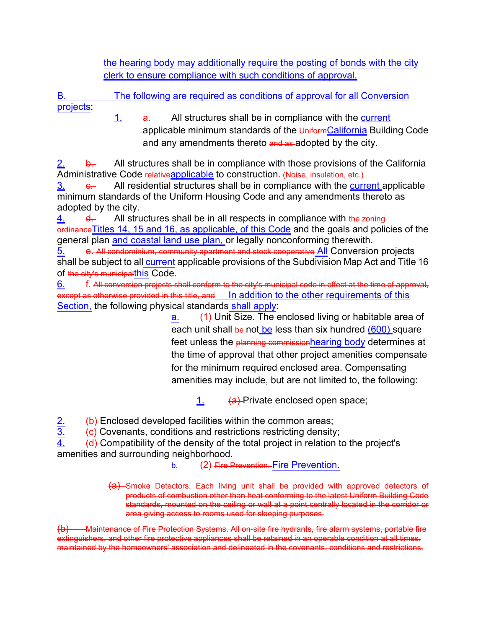the hearing body may additionally require the posting of bonds with the city clerk to ensure compliance with such conditions of approval.

The following are required as conditions of approval for all Conversion projects:

1. **a.** All structures shall be in compliance with the current applicable minimum standards of the UniformCalifornia Building Code and any amendments thereto and as adopted by the city.

**b.** All structures shall be in compliance with those provisions of the California Administrative Code relative applicable to construction. (Noise, insulation, etc.)

 $\frac{3}{2}$ . All residential structures shall be in compliance with the current applicable minimum standards of the Uniform Housing Code and any amendments thereto as adopted by the city.

 $\frac{4}{1}$  d. All structures shall be in all respects in compliance with the zoning ordinance Titles 14, 15 and 16, as applicable, of this Code and the goals and policies of the general plan and coastal land use plan, or legally nonconforming therewith.

5. e. All condominium, community apartment and stock cooperative All Conversion projects shall be subject to all **current** applicable provisions of the Subdivision Map Act and Title 16 of the city's municipalthis Code.

6. f. All conversion projects shall conform to the city's municipal code in effect at the time of approval, except as otherwise provided in this title, and In addition to the other requirements of this Section, the following physical standards shall apply:

a. (1) Unit Size. The enclosed living or habitable area of each unit shall be not be less than six hundred (600) square feet unless the planning commission hearing body determines at the time of approval that other project amenities compensate for the minimum required enclosed area. Compensating amenities may include, but are not limited to, the following:

1. (a) Private enclosed open space;

 $\frac{2}{3}$  (b) Enclosed developed facilities within the common areas;<br> $\frac{3}{3}$  (c) Covenants, conditions and restrictions restricting density (c) Covenants, conditions and restrictions restricting density;

 $\frac{4.}{1}$  (d) Compatibility of the density of the total project in relation to the project's amenities and surrounding neighborhood.

b. (2) Fire Prevention. Fire Prevention.

(a) Smoke Detectors. Each living unit shall be provided with approved detectors of products of combustion other than heat conforming to the latest Uniform Building Code standards, mounted on the ceiling or wall at a point centrally located in the corridor or area giving access to rooms used for sleeping purposes.

(b) Maintenance of Fire Protection Systems. All on-site fire hydrants, fire alarm systems, portable fire extinguishers, and other fire protective appliances shall be retained in an operable condition at all times, maintained by the homeowners' association and delineated in the covenants, conditions and restrictions.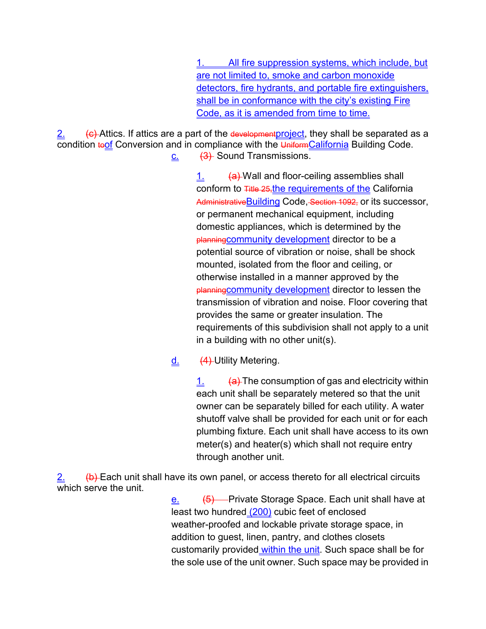All fire suppression systems, which include, but are not limited to, smoke and carbon monoxide detectors, fire hydrants, and portable fire extinguishers, shall be in conformance with the city's existing Fire Code, as it is amended from time to time.

2. (c) Attics. If attics are a part of the development project, they shall be separated as a condition toof Conversion and in compliance with the UniformCalifornia Building Code.  $c.$   $(3)$  Sound Transmissions.

1. (a) Wall and floor-ceiling assemblies shall conform to Title 25, the requirements of the California Administrative Building Code, Section 1092, or its successor, or permanent mechanical equipment, including domestic appliances, which is determined by the planning community development director to be a potential source of vibration or noise, shall be shock mounted, isolated from the floor and ceiling, or otherwise installed in a manner approved by the planningcommunity development director to lessen the transmission of vibration and noise. Floor covering that provides the same or greater insulation. The requirements of this subdivision shall not apply to a unit in a building with no other unit(s).

## $d.$  (4) Utility Metering.

 $\frac{1}{1}$  (a) The consumption of gas and electricity within each unit shall be separately metered so that the unit owner can be separately billed for each utility. A water shutoff valve shall be provided for each unit or for each plumbing fixture. Each unit shall have access to its own meter(s) and heater(s) which shall not require entry through another unit.

(b) Each unit shall have its own panel, or access thereto for all electrical circuits which serve the unit.

 $\frac{e}{e}$  (5) Private Storage Space. Each unit shall have at least two hundred (200) cubic feet of enclosed weather-proofed and lockable private storage space, in addition to guest, linen, pantry, and clothes closets customarily provided within the unit. Such space shall be for the sole use of the unit owner. Such space may be provided in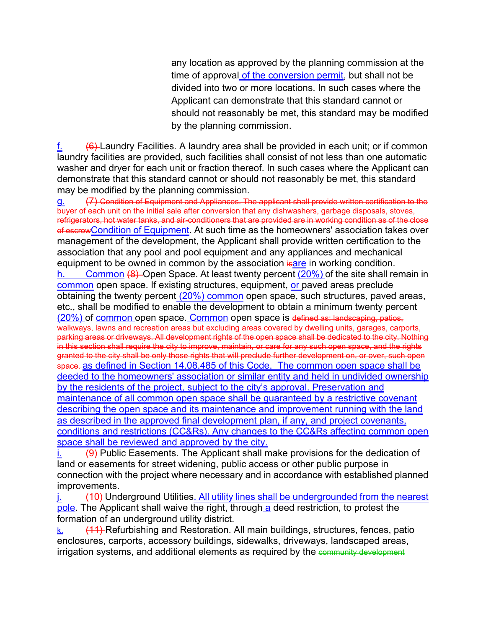any location as approved by the planning commission at the time of approval of the conversion permit, but shall not be divided into two or more locations. In such cases where the Applicant can demonstrate that this standard cannot or should not reasonably be met, this standard may be modified by the planning commission.

(6) Laundry Facilities. A laundry area shall be provided in each unit; or if common laundry facilities are provided, such facilities shall consist of not less than one automatic washer and dryer for each unit or fraction thereof. In such cases where the Applicant can demonstrate that this standard cannot or should not reasonably be met, this standard may be modified by the planning commission.

g. (7) Condition of Equipment and Appliances. The applicant shall provide written certification to the buyer of each unit on the initial sale after conversion that any dishwashers, garbage disposals, stoves, refrigerators, hot water tanks, and air-conditioners that are provided are in working condition as of the close of escrow Condition of Equipment. At such time as the homeowners' association takes over management of the development, the Applicant shall provide written certification to the association that any pool and pool equipment and any appliances and mechanical equipment to be owned in common by the association is are in working condition. **Common (8)** Open Space. At least twenty percent  $(20\%)$  of the site shall remain in common open space. If existing structures, equipment, or paved areas preclude obtaining the twenty percent (20%) common open space, such structures, paved areas, etc., shall be modified to enable the development to obtain a minimum twenty percent (20%) of common open space. Common open space is defined as: landscaping, patios, walkways, lawns and recreation areas but excluding areas covered by dwelling units, garages, carports, and the parking areas or driveways. All development rights of the open space shall be dedicated to the city. Nothing in this section shall require the city to improve, maintain, or care for any such open space, and the rights granted to the city shall be only those rights that will preclude further development on, or over, such open space. as defined in Section 14.08.485 of this Code. The common open space shall be deeded to the homeowners' association or similar entity and held in undivided ownership by the residents of the project, subject to the city's approval. Preservation and maintenance of all common open space shall be guaranteed by a restrictive covenant describing the open space and its maintenance and improvement running with the land as described in the approved final development plan, if any, and project covenants, conditions and restrictions (CC&Rs). Any changes to the CC&Rs affecting common open space shall be reviewed and approved by the city.

 $\overline{1}$ . (9) Public Easements. The Applicant shall make provisions for the dedication of land or easements for street widening, public access or other public purpose in connection with the project where necessary and in accordance with established planned improvements.

(10) Underground Utilities. All utility lines shall be undergrounded from the nearest pole. The Applicant shall waive the right, through a deed restriction, to protest the formation of an underground utility district.

 $k.$  (11) Refurbishing and Restoration. All main buildings, structures, fences, patio enclosures, carports, accessory buildings, sidewalks, driveways, landscaped areas, irrigation systems, and additional elements as required by the community development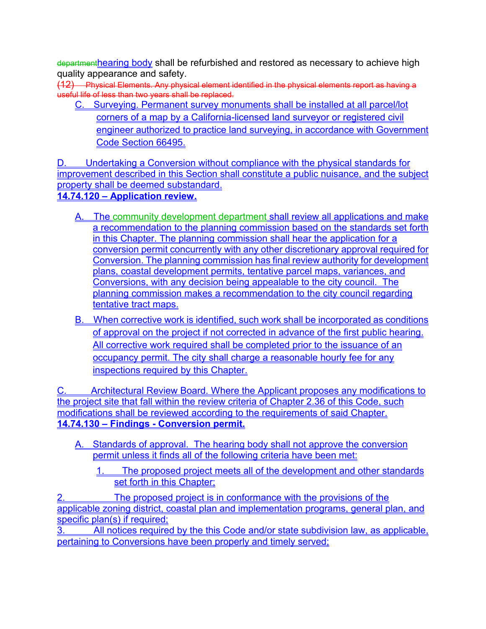departmenthearing body shall be refurbished and restored as necessary to achieve high quality appearance and safety.

(12) Physical Elements. Any physical element identified in the physical elements report as having a useful life of less than two years shall be replaced.

C. Surveying. Permanent survey monuments shall be installed at all parcel/lot corners of a map by a California-licensed land surveyor or registered civil engineer authorized to practice land surveying, in accordance with Government Code Section 66495.

D. Undertaking a Conversion without compliance with the physical standards for improvement described in this Section shall constitute a public nuisance, and the subject property shall be deemed substandard.

**14.74.120 – Application review.** 

- A. The community development department shall review all applications and make a recommendation to the planning commission based on the standards set forth in this Chapter. The planning commission shall hear the application for a conversion permit concurrently with any other discretionary approval required for Conversion. The planning commission has final review authority for development plans, coastal development permits, tentative parcel maps, variances, and Conversions, with any decision being appealable to the city council. The planning commission makes a recommendation to the city council regarding tentative tract maps.
- B. When corrective work is identified, such work shall be incorporated as conditions of approval on the project if not corrected in advance of the first public hearing. All corrective work required shall be completed prior to the issuance of an occupancy permit. The city shall charge a reasonable hourly fee for any inspections required by this Chapter.

Architectural Review Board. Where the Applicant proposes any modifications to the project site that fall within the review criteria of Chapter 2.36 of this Code, such modifications shall be reviewed according to the requirements of said Chapter. **14.74.130 – Findings - Conversion permit.** 

- A. Standards of approval. The hearing body shall not approve the conversion permit unless it finds all of the following criteria have been met:
	- 1. The proposed project meets all of the development and other standards set forth in this Chapter;

The proposed project is in conformance with the provisions of the applicable zoning district, coastal plan and implementation programs, general plan, and specific plan(s) if required;

3. All notices required by the this Code and/or state subdivision law, as applicable, pertaining to Conversions have been properly and timely served;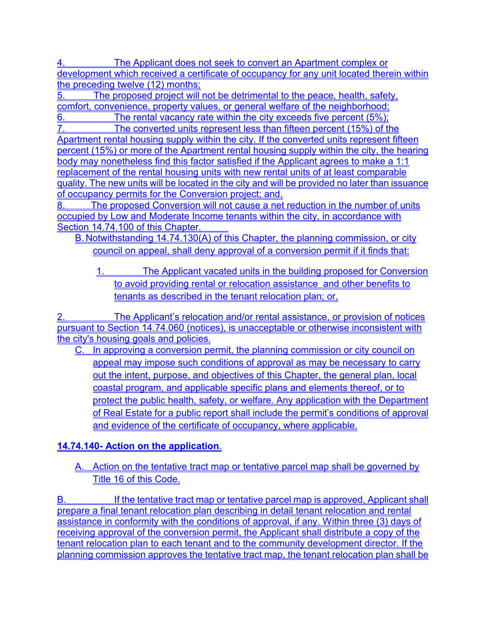The Applicant does not seek to convert an Apartment complex or development which received a certificate of occupancy for any unit located therein within the preceding twelve (12) months;

The proposed project will not be detrimental to the peace, health, safety, comfort, convenience, property values, or general welfare of the neighborhood;

6. The rental vacancy rate within the city exceeds five percent (5%); 7. The converted units represent less than fifteen percent (15%) of the

Apartment rental housing supply within the city. If the converted units represent fifteen percent (15%) or more of the Apartment rental housing supply within the city, the hearing body may nonetheless find this factor satisfied if the Applicant agrees to make a 1:1 replacement of the rental housing units with new rental units of at least comparable quality. The new units will be located in the city and will be provided no later than issuance of occupancy permits for the Conversion project; and,

The proposed Conversion will not cause a net reduction in the number of units occupied by Low and Moderate Income tenants within the city, in accordance with Section 14.74.100 of this Chapter.

B. Notwithstanding 14.74.130(A) of this Chapter, the planning commission, or city council on appeal, shall deny approval of a conversion permit if it finds that:

1. The Applicant vacated units in the building proposed for Conversion to avoid providing rental or relocation assistance and other benefits to tenants as described in the tenant relocation plan; or,

2. The Applicant's relocation and/or rental assistance, or provision of notices pursuant to Section 14.74.060 (notices), is unacceptable or otherwise inconsistent with the city's housing goals and policies.

C. In approving a conversion permit, the planning commission or city council on appeal may impose such conditions of approval as may be necessary to carry out the intent, purpose, and objectives of this Chapter, the general plan, local coastal program, and applicable specific plans and elements thereof, or to protect the public health, safety, or welfare. Any application with the Department of Real Estate for a public report shall include the permit's conditions of approval and evidence of the certificate of occupancy, where applicable.

## **14.74.140- Action on the application**.

A. Action on the tentative tract map or tentative parcel map shall be governed by Title 16 of this Code.

B. If the tentative tract map or tentative parcel map is approved, Applicant shall prepare a final tenant relocation plan describing in detail tenant relocation and rental assistance in conformity with the conditions of approval, if any. Within three (3) days of receiving approval of the conversion permit, the Applicant shall distribute a copy of the tenant relocation plan to each tenant and to the community development director. If the planning commission approves the tentative tract map, the tenant relocation plan shall be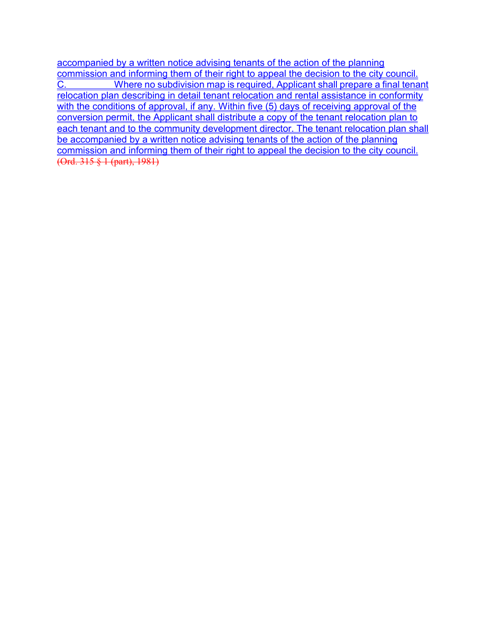accompanied by a written notice advising tenants of the action of the planning commission and informing them of their right to appeal the decision to the city council. C. Where no subdivision map is required, Applicant shall prepare a final tenant relocation plan describing in detail tenant relocation and rental assistance in conformity with the conditions of approval, if any. Within five (5) days of receiving approval of the conversion permit, the Applicant shall distribute a copy of the tenant relocation plan to each tenant and to the community development director. The tenant relocation plan shall be accompanied by a written notice advising tenants of the action of the planning commission and informing them of their right to appeal the decision to the city council. (Ord. 315 § 1 (part), 1981)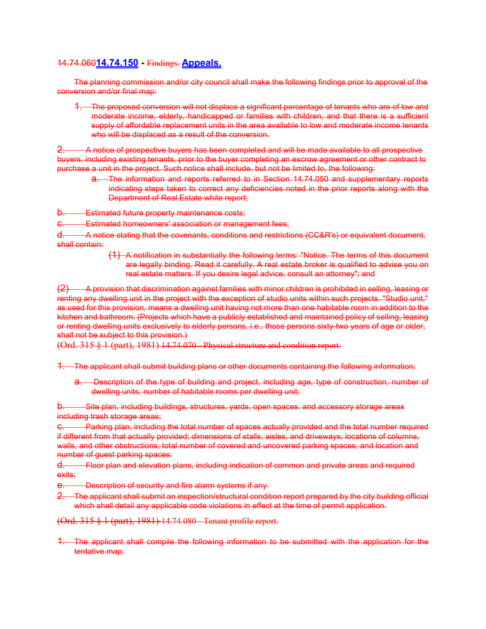#### 14.74.060**14.74.150 -** Findings. **Appeals.**

The planning commission and/or city council shall make the following findings prior to approval of the conversion and/or final map:

1. The proposed conversion will not displace a significant percentage of tenants who are of low and moderate income, elderly, handicapped or families with children, and that there is a sufficient supply of affordable replacement units in the area available to low and moderate income tenants who will be displaced as a result of the conversion.

2. A notice of prospective buyers has been completed and will be made available to all prospective buyers, including existing tenants, prior to the buyer completing an escrow agreement or other contract to purchase a unit in the project. Such notice shall include, but not be limited to, the following:

a. The information and reports referred to in Section 14.74.050 and supplementary reports indicating steps taken to correct any deficiencies noted in the prior reports along with the Department of Real Estate white report;

-Estimated future property maintenance costs;

**Estimated homeowners' association or management fees:** 

d. A notice stating that the covenants, conditions and restrictions (CC&R's) or equivalent document, shall contain:

> (1) A notification in substantially the following terms: "Notice. The terms of this document are legally binding. Read it carefully. A real estate broker is qualified to advise you on real estate matters. If you desire legal advice, consult an attorney"; and

(2) A provision that discrimination against families with minor children is prohibited in selling, leasing or renting any dwelling unit in the project with the exception of studio units within such projects. "Studio unit," as used for this provision, means a dwelling unit having not more than one habitable room in addition to the kitchen and bathroom. (Projects which have a publicly established and maintained policy of selling, leasing or renting dwelling units exclusively to elderly persons, i.e., those persons sixty-two years of age or older, shall not be subject to this provision.)

(Ord. 315 § 1 (part), 1981) 14.74.070 - Physical structure and condition report.

1. The applicant shall submit building plans or other documents containing the following information:

a. Description of the type of building and project, including age, type of construction, number of dwelling units, number of habitable rooms per dwelling unit;

Site plan, including buildings, structures, yards, open spaces, and accessory storage areas including trash storage areas;

c. Parking plan, including the total number of spaces actually provided and the total number required if different from that actually provided; dimensions of stalls, aisles, and driveways; locations of columns, walls, and other obstructions; total number of covered and uncovered parking spaces, and location and number of guest parking spaces;

d. Floor plan and elevation plans, including indication of common and private areas and required exits;

- e. Description of security and fire alarm systems if any.
- 2. The applicant shall submit an inspection/structural condition report prepared by the city building official which shall detail any applicable code violations in effect at the time of permit application.

(Ord. 315 § 1 (part), 1981) 14.74.080 - Tenant profile report.

1. The applicant shall compile the following information to be submitted with the application for the tentative map: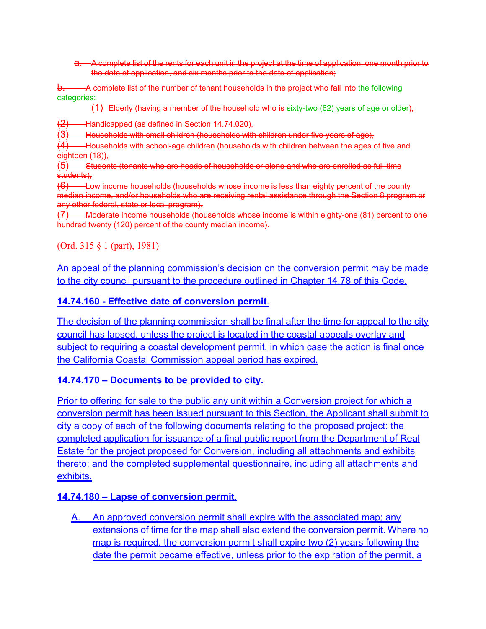a. A complete list of the rents for each unit in the project at the time of application, one month prior to the date of application, and six months prior to the date of application;

A complete list of the number of tenant households in the project who fall into the following categories:

(1) Elderly (having a member of the household who is sixty-two (62) years of age or older),

(2) Handicapped (as defined in Section 14.74.020),

(3) Households with small children (households with children under five years of age),

(4) Households with school-age children (households with children between the ages of five and eighteen (18)),

(5) Students (tenants who are heads of households or alone and who are enrolled as full-time students),

 $(6)$  Low income households (households whose income is less than eighty percent of the county median income, and/or households who are receiving rental assistance through the Section 8 program or any other federal, state or local program),

(7) Moderate income households (households whose income is within eighty-one (81) percent to one hundred twenty (120) percent of the county median income).

(Ord. 315 § 1 (part), 1981)

An appeal of the planning commission's decision on the conversion permit may be made to the city council pursuant to the procedure outlined in Chapter 14.78 of this Code.

#### **14.74.160 - Effective date of conversion permit**.

The decision of the planning commission shall be final after the time for appeal to the city council has lapsed, unless the project is located in the coastal appeals overlay and subject to requiring a coastal development permit, in which case the action is final once the California Coastal Commission appeal period has expired.

#### **14.74.170 – Documents to be provided to city.**

Prior to offering for sale to the public any unit within a Conversion project for which a conversion permit has been issued pursuant to this Section, the Applicant shall submit to city a copy of each of the following documents relating to the proposed project: the completed application for issuance of a final public report from the Department of Real Estate for the project proposed for Conversion, including all attachments and exhibits thereto; and the completed supplemental questionnaire, including all attachments and exhibits.

#### **14.74.180 – Lapse of conversion permit**.

A. An approved conversion permit shall expire with the associated map; any extensions of time for the map shall also extend the conversion permit. Where no map is required, the conversion permit shall expire two (2) years following the date the permit became effective, unless prior to the expiration of the permit, a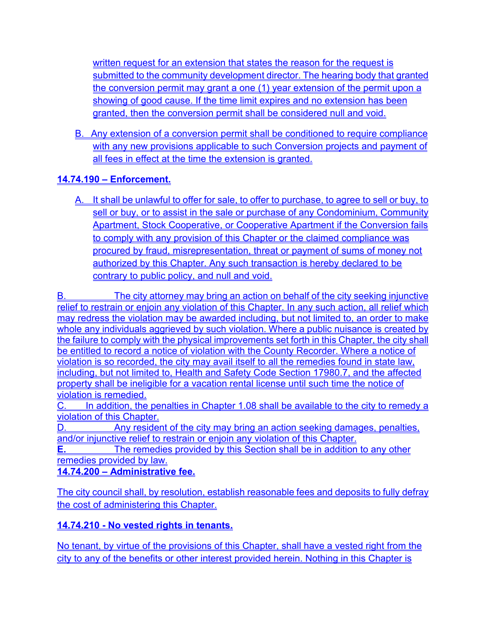written request for an extension that states the reason for the request is submitted to the community development director. The hearing body that granted the conversion permit may grant a one (1) year extension of the permit upon a showing of good cause. If the time limit expires and no extension has been granted, then the conversion permit shall be considered null and void.

B. Any extension of a conversion permit shall be conditioned to require compliance with any new provisions applicable to such Conversion projects and payment of all fees in effect at the time the extension is granted.

## **14.74.190 – Enforcement.**

A. It shall be unlawful to offer for sale, to offer to purchase, to agree to sell or buy, to sell or buy, or to assist in the sale or purchase of any Condominium, Community Apartment, Stock Cooperative, or Cooperative Apartment if the Conversion fails to comply with any provision of this Chapter or the claimed compliance was procured by fraud, misrepresentation, threat or payment of sums of money not authorized by this Chapter. Any such transaction is hereby declared to be contrary to public policy, and null and void.

B. The city attorney may bring an action on behalf of the city seeking injunctive relief to restrain or enjoin any violation of this Chapter. In any such action, all relief which may redress the violation may be awarded including, but not limited to, an order to make whole any individuals aggrieved by such violation. Where a public nuisance is created by the failure to comply with the physical improvements set forth in this Chapter, the city shall be entitled to record a notice of violation with the County Recorder. Where a notice of violation is so recorded, the city may avail itself to all the remedies found in state law, including, but not limited to, Health and Safety Code Section 17980.7, and the affected property shall be ineligible for a vacation rental license until such time the notice of violation is remedied.

C. In addition, the penalties in Chapter 1.08 shall be available to the city to remedy a violation of this Chapter.

D. Any resident of the city may bring an action seeking damages, penalties, and/or injunctive relief to restrain or enjoin any violation of this Chapter.

**E.** The remedies provided by this Section shall be in addition to any other remedies provided by law.

**14.74.200 – Administrative fee.**

The city council shall, by resolution, establish reasonable fees and deposits to fully defray the cost of administering this Chapter.

## **14.74.210 - No vested rights in tenants.**

No tenant, by virtue of the provisions of this Chapter, shall have a vested right from the city to any of the benefits or other interest provided herein. Nothing in this Chapter is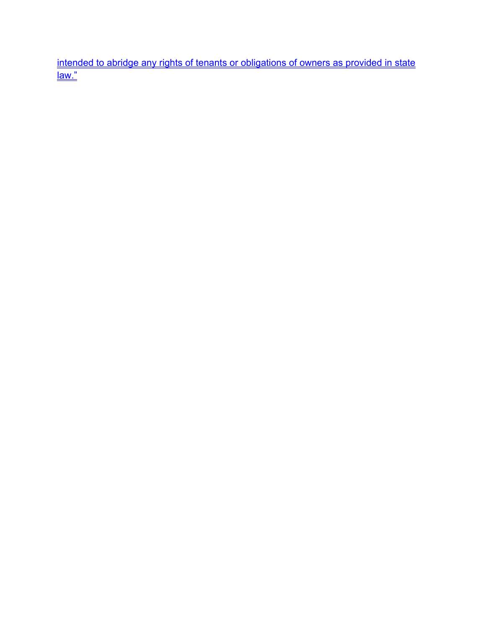intended to abridge any rights of tenants or obligations of owners as provided in state <u>law."</u>